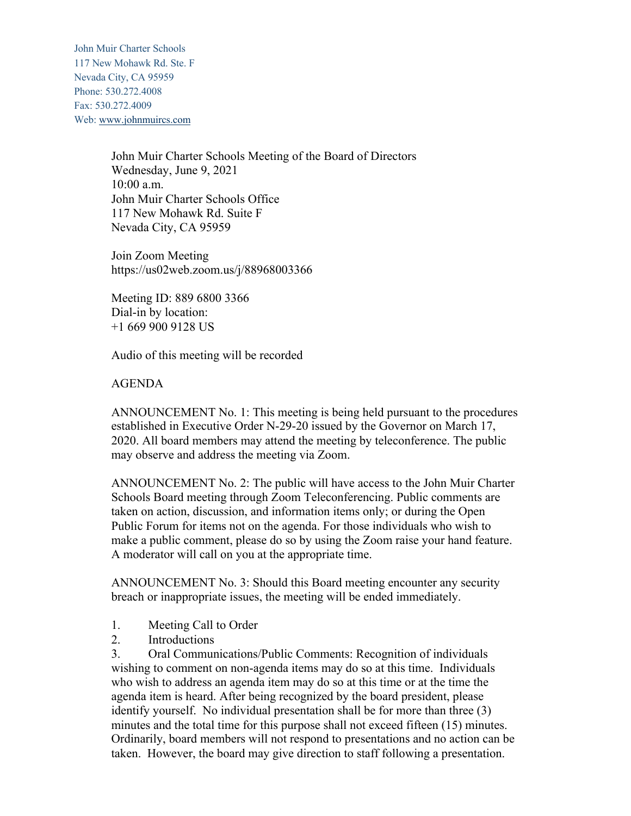John Muir Charter Schools 117 New Mohawk Rd. Ste. F Nevada City, CA 95959 Phone: 530.272.4008 Fax: 530.272.4009 Web: www.johnmuircs.com

> John Muir Charter Schools Meeting of the Board of Directors Wednesday, June 9, 2021 10:00 a.m. John Muir Charter Schools Office 117 New Mohawk Rd. Suite F Nevada City, CA 95959

Join Zoom Meeting https://us02web.zoom.us/j/88968003366

Meeting ID: 889 6800 3366 Dial-in by location: +1 669 900 9128 US

Audio of this meeting will be recorded

## AGENDA

ANNOUNCEMENT No. 1: This meeting is being held pursuant to the procedures established in Executive Order N-29-20 issued by the Governor on March 17, 2020. All board members may attend the meeting by teleconference. The public may observe and address the meeting via Zoom.

ANNOUNCEMENT No. 2: The public will have access to the John Muir Charter Schools Board meeting through Zoom Teleconferencing. Public comments are taken on action, discussion, and information items only; or during the Open Public Forum for items not on the agenda. For those individuals who wish to make a public comment, please do so by using the Zoom raise your hand feature. A moderator will call on you at the appropriate time.

ANNOUNCEMENT No. 3: Should this Board meeting encounter any security breach or inappropriate issues, the meeting will be ended immediately.

- 1. Meeting Call to Order
- 2. Introductions

3. Oral Communications/Public Comments: Recognition of individuals wishing to comment on non-agenda items may do so at this time. Individuals who wish to address an agenda item may do so at this time or at the time the agenda item is heard. After being recognized by the board president, please identify yourself. No individual presentation shall be for more than three (3) minutes and the total time for this purpose shall not exceed fifteen (15) minutes. Ordinarily, board members will not respond to presentations and no action can be taken. However, the board may give direction to staff following a presentation.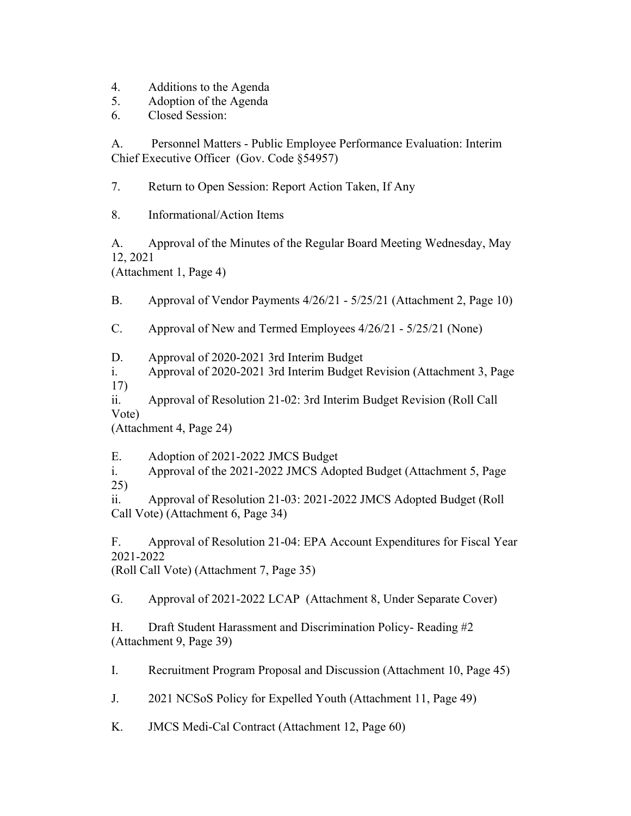- 4. Additions to the Agenda
- 5. Adoption of the Agenda
- 6. Closed Session:

A. Personnel Matters - Public Employee Performance Evaluation: Interim Chief Executive Officer (Gov. Code §54957)

7. Return to Open Session: Report Action Taken, If Any

8. Informational/Action Items

A. Approval of the Minutes of the Regular Board Meeting Wednesday, May 12, 2021

(Attachment 1, Page 4)

B. Approval of Vendor Payments 4/26/21 - 5/25/21 (Attachment 2, Page 10)

C. Approval of New and Termed Employees 4/26/21 - 5/25/21 (None)

D. Approval of 2020-2021 3rd Interim Budget

i. Approval of 2020-2021 3rd Interim Budget Revision (Attachment 3, Page 17)

ii. Approval of Resolution 21-02: 3rd Interim Budget Revision (Roll Call Vote)

(Attachment 4, Page 24)

E. Adoption of 2021-2022 JMCS Budget

i. Approval of the 2021-2022 JMCS Adopted Budget (Attachment 5, Page 25)

ii. Approval of Resolution 21-03: 2021-2022 JMCS Adopted Budget (Roll Call Vote) (Attachment 6, Page 34)

F. Approval of Resolution 21-04: EPA Account Expenditures for Fiscal Year 2021-2022 (Roll Call Vote) (Attachment 7, Page 35)

G. Approval of 2021-2022 LCAP (Attachment 8, Under Separate Cover)

H. Draft Student Harassment and Discrimination Policy- Reading #2 (Attachment 9, Page 39)

I. Recruitment Program Proposal and Discussion (Attachment 10, Page 45)

J. 2021 NCSoS Policy for Expelled Youth (Attachment 11, Page 49)

K. JMCS Medi-Cal Contract (Attachment 12, Page 60)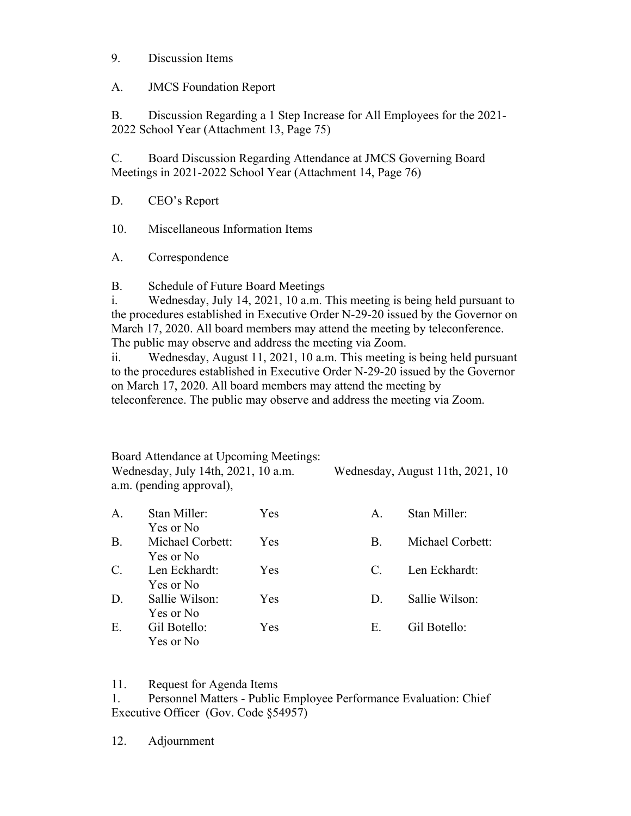## 9. Discussion Items

A. JMCS Foundation Report

B. Discussion Regarding a 1 Step Increase for All Employees for the 2021- 2022 School Year (Attachment 13, Page 75)

C. Board Discussion Regarding Attendance at JMCS Governing Board Meetings in 2021-2022 School Year (Attachment 14, Page 76)

D. CEO's Report

10. Miscellaneous Information Items

A. Correspondence

B. Schedule of Future Board Meetings

i. Wednesday, July 14, 2021, 10 a.m. This meeting is being held pursuant to the procedures established in Executive Order N-29-20 issued by the Governor on March 17, 2020. All board members may attend the meeting by teleconference. The public may observe and address the meeting via Zoom.

ii. Wednesday, August 11, 2021, 10 a.m. This meeting is being held pursuant to the procedures established in Executive Order N-29-20 issued by the Governor on March 17, 2020. All board members may attend the meeting by teleconference. The public may observe and address the meeting via Zoom.

Board Attendance at Upcoming Meetings: Wednesday, July 14th, 2021, 10 a.m. Wednesday, August 11th, 2021, 10 a.m. (pending approval),

| A.              | Stan Miller:                  | Yes        | $\mathbf{A}$ .        | Stan Miller:     |
|-----------------|-------------------------------|------------|-----------------------|------------------|
| <b>B.</b>       | Yes or No<br>Michael Corbett: | <b>Yes</b> | В.                    | Michael Corbett: |
| $\mathcal{C}$ . | Yes or No<br>Len Eckhardt:    | <b>Yes</b> | $\mathcal{C}_{\cdot}$ | Len Eckhardt:    |
| D.              | Yes or No<br>Sallie Wilson:   | Yes        | $D_{\cdot}$           | Sallie Wilson:   |
| E.              | Yes or No<br>Gil Botello:     | Yes        | Е.                    | Gil Botello:     |
|                 | Yes or No                     |            |                       |                  |

11. Request for Agenda Items

1. Personnel Matters - Public Employee Performance Evaluation: Chief Executive Officer (Gov. Code §54957)

12. Adjournment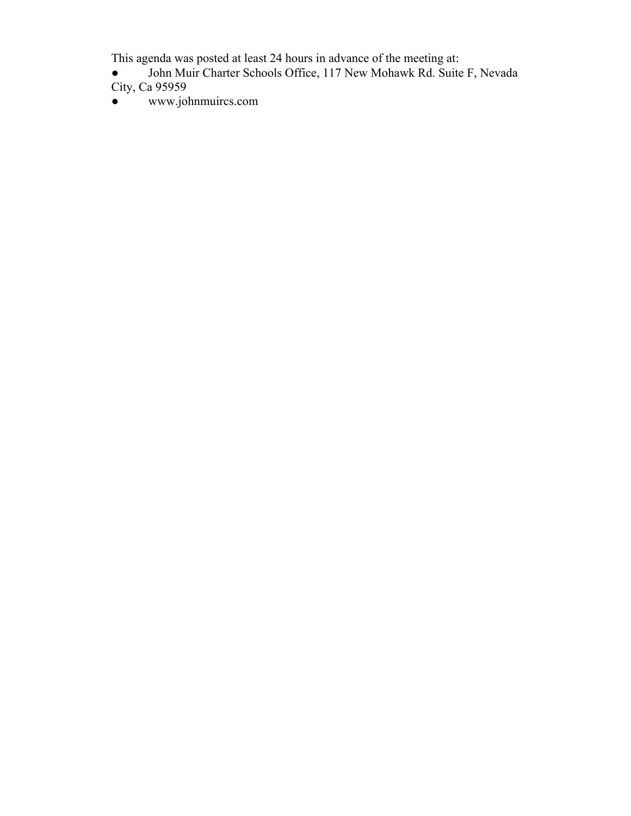This agenda was posted at least 24 hours in advance of the meeting at:

- John Muir Charter Schools Office, 117 New Mohawk Rd. Suite F, Nevada City, Ca 95959
- www.johnmuircs.com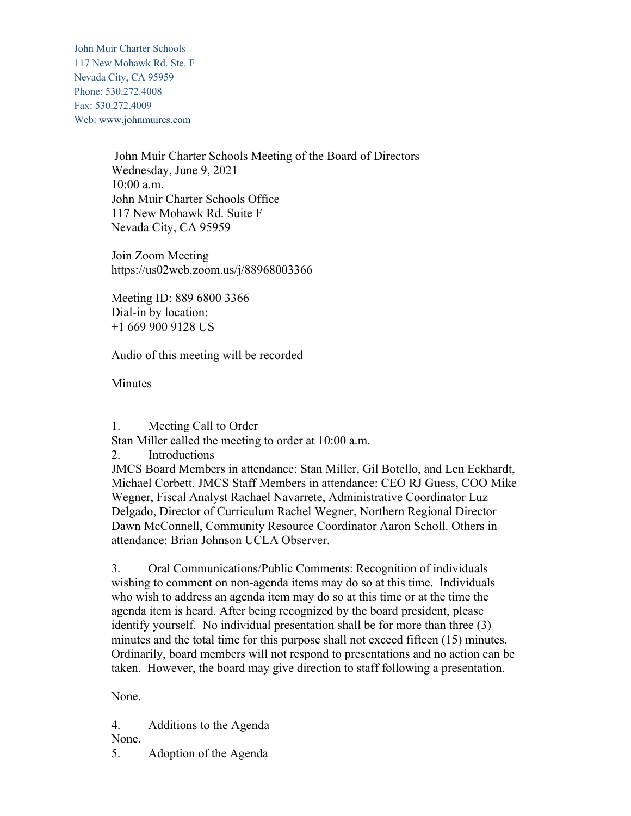John Muir Charter Schools 117 New Mohawk Rd. Ste. F Nevada City, CA 95959 Phone: 530.272.4008 Fax: 530.272.4009 Web: www.johnmuircs.com

> John Muir Charter Schools Meeting of the Board of Directors Wednesday, June 9, 2021 10:00 a.m. John Muir Charter Schools Office 117 New Mohawk Rd. Suite F Nevada City, CA 95959

Join Zoom Meeting https://us02web.zoom.us/j/88968003366

Meeting ID: 889 6800 3366 Dial-in by location: +1 669 900 9128 US

Audio of this meeting will be recorded

**Minutes** 

1. Meeting Call to Order

Stan Miller called the meeting to order at 10:00 a.m.

2. Introductions

JMCS Board Members in attendance: Stan Miller, Gil Botello, and Len Eckhardt, Michael Corbett. JMCS Staff Members in attendance: CEO RJ Guess, COO Mike Wegner, Fiscal Analyst Rachael Navarrete, Administrative Coordinator Luz Delgado, Director of Curriculum Rachel Wegner, Northern Regional Director Dawn McConnell, Community Resource Coordinator Aaron Scholl. Others in attendance: Brian Johnson UCLA Observer.

3. Oral Communications/Public Comments: Recognition of individuals wishing to comment on non-agenda items may do so at this time. Individuals who wish to address an agenda item may do so at this time or at the time the agenda item is heard. After being recognized by the board president, please identify yourself. No individual presentation shall be for more than three (3) minutes and the total time for this purpose shall not exceed fifteen (15) minutes. Ordinarily, board members will not respond to presentations and no action can be taken. However, the board may give direction to staff following a presentation.

None.

4. Additions to the Agenda None.

5. Adoption of the Agenda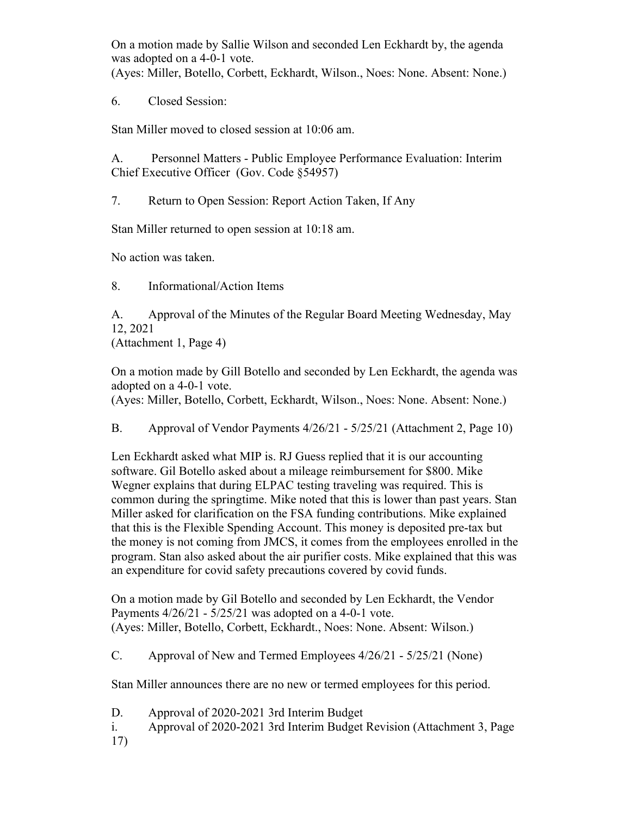On a motion made by Sallie Wilson and seconded Len Eckhardt by, the agenda was adopted on a 4-0-1 vote.

(Ayes: Miller, Botello, Corbett, Eckhardt, Wilson., Noes: None. Absent: None.)

6. Closed Session:

Stan Miller moved to closed session at 10:06 am.

A. Personnel Matters - Public Employee Performance Evaluation: Interim Chief Executive Officer (Gov. Code §54957)

7. Return to Open Session: Report Action Taken, If Any

Stan Miller returned to open session at 10:18 am.

No action was taken.

8. Informational/Action Items

A. Approval of the Minutes of the Regular Board Meeting Wednesday, May 12, 2021

(Attachment 1, Page 4)

On a motion made by Gill Botello and seconded by Len Eckhardt, the agenda was adopted on a 4-0-1 vote.

(Ayes: Miller, Botello, Corbett, Eckhardt, Wilson., Noes: None. Absent: None.)

B. Approval of Vendor Payments 4/26/21 - 5/25/21 (Attachment 2, Page 10)

Len Eckhardt asked what MIP is. RJ Guess replied that it is our accounting software. Gil Botello asked about a mileage reimbursement for \$800. Mike Wegner explains that during ELPAC testing traveling was required. This is common during the springtime. Mike noted that this is lower than past years. Stan Miller asked for clarification on the FSA funding contributions. Mike explained that this is the Flexible Spending Account. This money is deposited pre-tax but the money is not coming from JMCS, it comes from the employees enrolled in the program. Stan also asked about the air purifier costs. Mike explained that this was an expenditure for covid safety precautions covered by covid funds.

On a motion made by Gil Botello and seconded by Len Eckhardt, the Vendor Payments 4/26/21 - 5/25/21 was adopted on a 4-0-1 vote. (Ayes: Miller, Botello, Corbett, Eckhardt., Noes: None. Absent: Wilson.)

C. Approval of New and Termed Employees 4/26/21 - 5/25/21 (None)

Stan Miller announces there are no new or termed employees for this period.

D. Approval of 2020-2021 3rd Interim Budget

- i. Approval of 2020-2021 3rd Interim Budget Revision (Attachment 3, Page
- 17)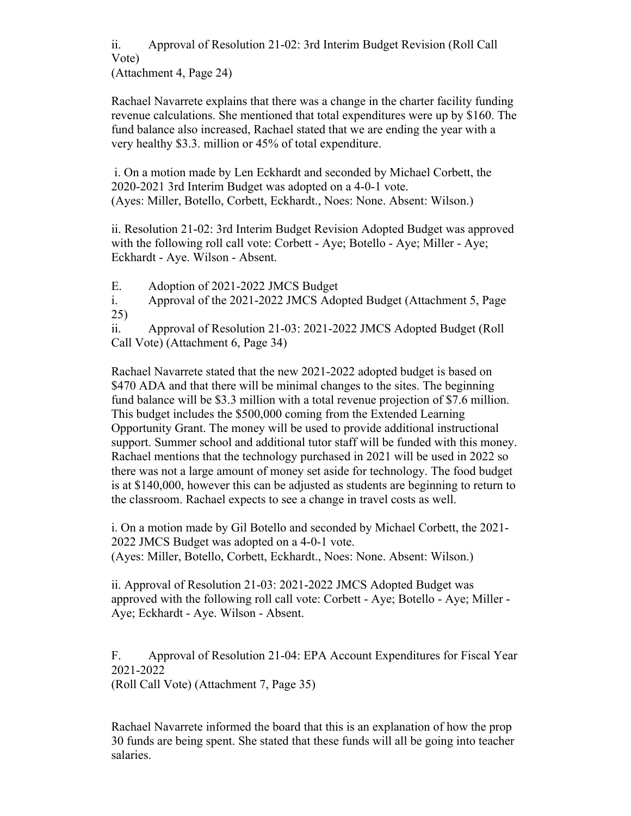ii. Approval of Resolution 21-02: 3rd Interim Budget Revision (Roll Call Vote)

(Attachment 4, Page 24)

Rachael Navarrete explains that there was a change in the charter facility funding revenue calculations. She mentioned that total expenditures were up by \$160. The fund balance also increased, Rachael stated that we are ending the year with a very healthy \$3.3. million or 45% of total expenditure.

i. On a motion made by Len Eckhardt and seconded by Michael Corbett, the 2020-2021 3rd Interim Budget was adopted on a 4-0-1 vote. (Ayes: Miller, Botello, Corbett, Eckhardt., Noes: None. Absent: Wilson.)

ii. Resolution 21-02: 3rd Interim Budget Revision Adopted Budget was approved with the following roll call vote: Corbett - Aye; Botello - Aye; Miller - Aye; Eckhardt - Aye. Wilson - Absent.

E. Adoption of 2021-2022 JMCS Budget

i. Approval of the 2021-2022 JMCS Adopted Budget (Attachment 5, Page 25)

ii. Approval of Resolution 21-03: 2021-2022 JMCS Adopted Budget (Roll Call Vote) (Attachment 6, Page 34)

Rachael Navarrete stated that the new 2021-2022 adopted budget is based on \$470 ADA and that there will be minimal changes to the sites. The beginning fund balance will be \$3.3 million with a total revenue projection of \$7.6 million. This budget includes the \$500,000 coming from the Extended Learning Opportunity Grant. The money will be used to provide additional instructional support. Summer school and additional tutor staff will be funded with this money. Rachael mentions that the technology purchased in 2021 will be used in 2022 so there was not a large amount of money set aside for technology. The food budget is at \$140,000, however this can be adjusted as students are beginning to return to the classroom. Rachael expects to see a change in travel costs as well.

i. On a motion made by Gil Botello and seconded by Michael Corbett, the 2021- 2022 JMCS Budget was adopted on a 4-0-1 vote. (Ayes: Miller, Botello, Corbett, Eckhardt., Noes: None. Absent: Wilson.)

ii. Approval of Resolution 21-03: 2021-2022 JMCS Adopted Budget was approved with the following roll call vote: Corbett - Aye; Botello - Aye; Miller - Aye; Eckhardt - Aye. Wilson - Absent.

F. Approval of Resolution 21-04: EPA Account Expenditures for Fiscal Year 2021-2022 (Roll Call Vote) (Attachment 7, Page 35)

Rachael Navarrete informed the board that this is an explanation of how the prop 30 funds are being spent. She stated that these funds will all be going into teacher salaries.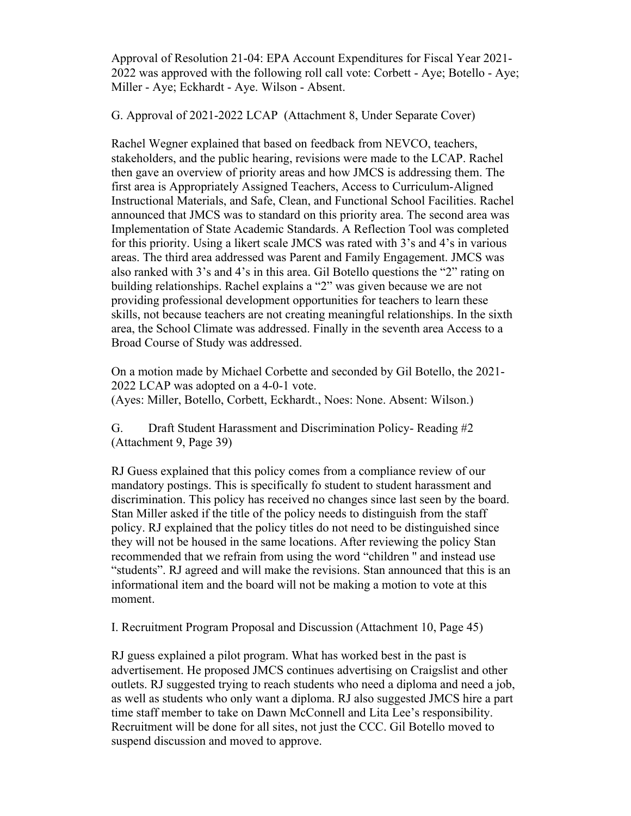Approval of Resolution 21-04: EPA Account Expenditures for Fiscal Year 2021- 2022 was approved with the following roll call vote: Corbett - Aye; Botello - Aye; Miller - Aye; Eckhardt - Aye. Wilson - Absent.

G. Approval of 2021-2022 LCAP (Attachment 8, Under Separate Cover)

Rachel Wegner explained that based on feedback from NEVCO, teachers, stakeholders, and the public hearing, revisions were made to the LCAP. Rachel then gave an overview of priority areas and how JMCS is addressing them. The first area is Appropriately Assigned Teachers, Access to Curriculum-Aligned Instructional Materials, and Safe, Clean, and Functional School Facilities. Rachel announced that JMCS was to standard on this priority area. The second area was Implementation of State Academic Standards. A Reflection Tool was completed for this priority. Using a likert scale JMCS was rated with 3's and 4's in various areas. The third area addressed was Parent and Family Engagement. JMCS was also ranked with 3's and 4's in this area. Gil Botello questions the "2" rating on building relationships. Rachel explains a "2" was given because we are not providing professional development opportunities for teachers to learn these skills, not because teachers are not creating meaningful relationships. In the sixth area, the School Climate was addressed. Finally in the seventh area Access to a Broad Course of Study was addressed.

On a motion made by Michael Corbette and seconded by Gil Botello, the 2021- 2022 LCAP was adopted on a 4-0-1 vote. (Ayes: Miller, Botello, Corbett, Eckhardt., Noes: None. Absent: Wilson.)

G. Draft Student Harassment and Discrimination Policy- Reading #2 (Attachment 9, Page 39)

RJ Guess explained that this policy comes from a compliance review of our mandatory postings. This is specifically fo student to student harassment and discrimination. This policy has received no changes since last seen by the board. Stan Miller asked if the title of the policy needs to distinguish from the staff policy. RJ explained that the policy titles do not need to be distinguished since they will not be housed in the same locations. After reviewing the policy Stan recommended that we refrain from using the word "children '' and instead use "students". RJ agreed and will make the revisions. Stan announced that this is an informational item and the board will not be making a motion to vote at this moment.

I. Recruitment Program Proposal and Discussion (Attachment 10, Page 45)

RJ guess explained a pilot program. What has worked best in the past is advertisement. He proposed JMCS continues advertising on Craigslist and other outlets. RJ suggested trying to reach students who need a diploma and need a job, as well as students who only want a diploma. RJ also suggested JMCS hire a part time staff member to take on Dawn McConnell and Lita Lee's responsibility. Recruitment will be done for all sites, not just the CCC. Gil Botello moved to suspend discussion and moved to approve.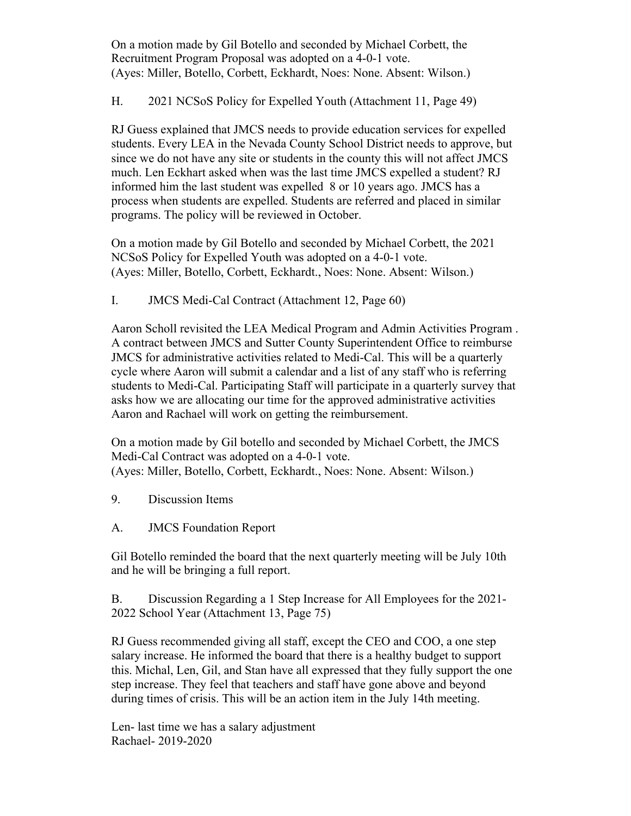On a motion made by Gil Botello and seconded by Michael Corbett, the Recruitment Program Proposal was adopted on a 4-0-1 vote. (Ayes: Miller, Botello, Corbett, Eckhardt, Noes: None. Absent: Wilson.)

H. 2021 NCSoS Policy for Expelled Youth (Attachment 11, Page 49)

RJ Guess explained that JMCS needs to provide education services for expelled students. Every LEA in the Nevada County School District needs to approve, but since we do not have any site or students in the county this will not affect JMCS much. Len Eckhart asked when was the last time JMCS expelled a student? RJ informed him the last student was expelled 8 or 10 years ago. JMCS has a process when students are expelled. Students are referred and placed in similar programs. The policy will be reviewed in October.

On a motion made by Gil Botello and seconded by Michael Corbett, the 2021 NCSoS Policy for Expelled Youth was adopted on a 4-0-1 vote. (Ayes: Miller, Botello, Corbett, Eckhardt., Noes: None. Absent: Wilson.)

I. JMCS Medi-Cal Contract (Attachment 12, Page 60)

Aaron Scholl revisited the LEA Medical Program and Admin Activities Program . A contract between JMCS and Sutter County Superintendent Office to reimburse JMCS for administrative activities related to Medi-Cal. This will be a quarterly cycle where Aaron will submit a calendar and a list of any staff who is referring students to Medi-Cal. Participating Staff will participate in a quarterly survey that asks how we are allocating our time for the approved administrative activities Aaron and Rachael will work on getting the reimbursement.

On a motion made by Gil botello and seconded by Michael Corbett, the JMCS Medi-Cal Contract was adopted on a 4-0-1 vote. (Ayes: Miller, Botello, Corbett, Eckhardt., Noes: None. Absent: Wilson.)

- 9. Discussion Items
- A. JMCS Foundation Report

Gil Botello reminded the board that the next quarterly meeting will be July 10th and he will be bringing a full report.

B. Discussion Regarding a 1 Step Increase for All Employees for the 2021- 2022 School Year (Attachment 13, Page 75)

RJ Guess recommended giving all staff, except the CEO and COO, a one step salary increase. He informed the board that there is a healthy budget to support this. Michal, Len, Gil, and Stan have all expressed that they fully support the one step increase. They feel that teachers and staff have gone above and beyond during times of crisis. This will be an action item in the July 14th meeting.

Len- last time we has a salary adjustment Rachael- 2019-2020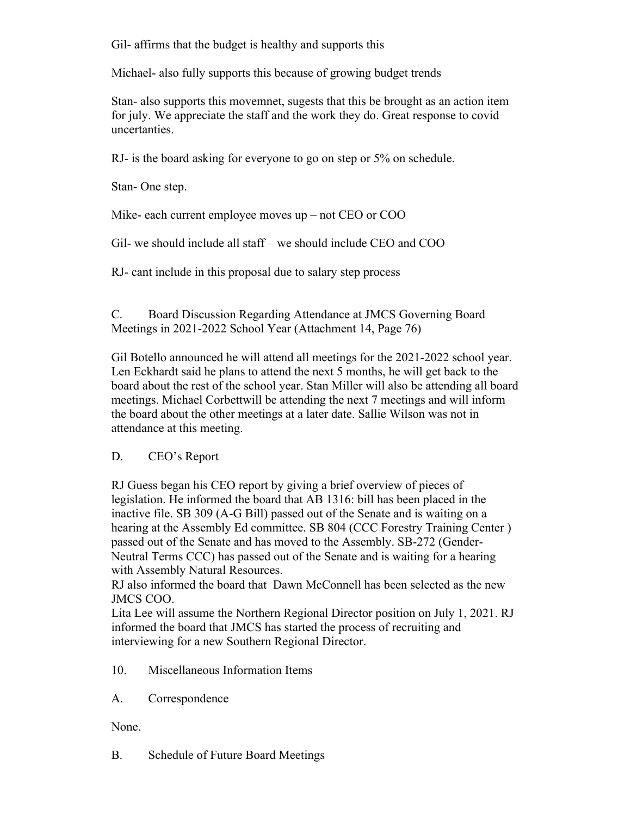Gil- affirms that the budget is healthy and supports this

Michael- also fully supports this because of growing budget trends

Stan- also supports this movemnet, sugests that this be brought as an action item for july. We appreciate the staff and the work they do. Great response to covid uncertanties.

RJ- is the board asking for everyone to go on step or 5% on schedule.

Stan- One step.

Mike- each current employee moves up – not CEO or COO

Gil- we should include all staff – we should include CEO and COO

RJ- cant include in this proposal due to salary step process

C. Board Discussion Regarding Attendance at JMCS Governing Board Meetings in 2021-2022 School Year (Attachment 14, Page 76)

Gil Botello announced he will attend all meetings for the 2021-2022 school year. Len Eckhardt said he plans to attend the next 5 months, he will get back to the board about the rest of the school year. Stan Miller will also be attending all board meetings. Michael Corbettwill be attending the next 7 meetings and will inform the board about the other meetings at a later date. Sallie Wilson was not in attendance at this meeting.

## D. CEO's Report

RJ Guess began his CEO report by giving a brief overview of pieces of legislation. He informed the board that AB 1316: bill has been placed in the inactive file. SB 309 (A-G Bill) passed out of the Senate and is waiting on a hearing at the Assembly Ed committee. SB 804 (CCC Forestry Training Center) passed out of the Senate and has moved to the Assembly. SB-272 (Gender-Neutral Terms CCC) has passed out of the Senate and is waiting for a hearing with Assembly Natural Resources.

RJ also informed the board that Dawn McConnell has been selected as the new JMCS COO.

Lita Lee will assume the Northern Regional Director position on July 1, 2021. RJ informed the board that JMCS has started the process of recruiting and interviewing for a new Southern Regional Director.

- 10. Miscellaneous Information Items
- A. Correspondence

None.

B. Schedule of Future Board Meetings